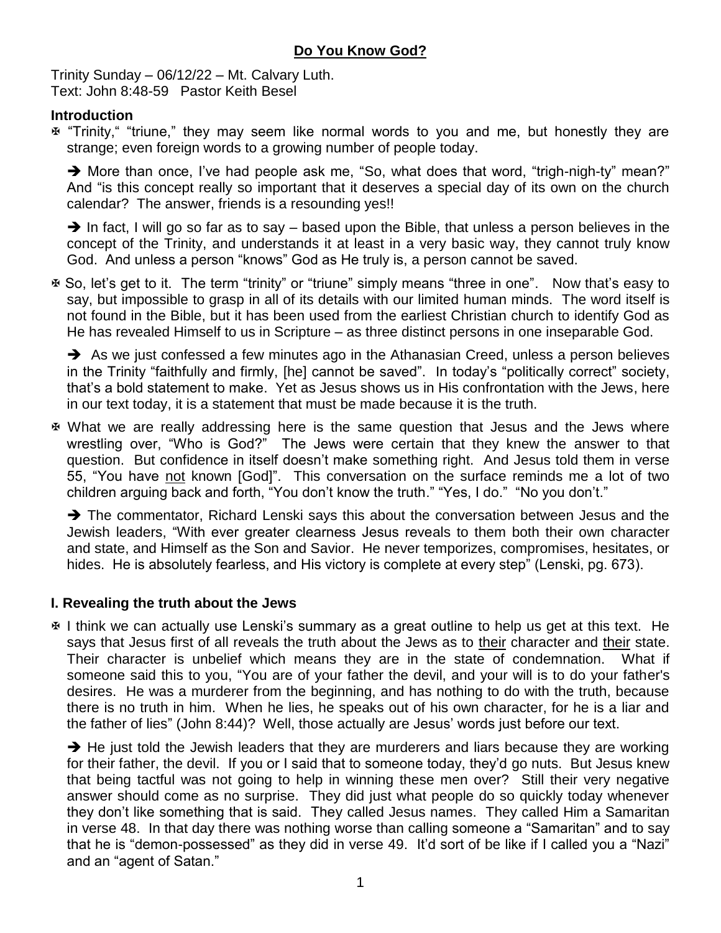Trinity Sunday – 06/12/22 – Mt. Calvary Luth. Text: John 8:48-59 Pastor Keith Besel

### **Introduction**

 "Trinity," "triune," they may seem like normal words to you and me, but honestly they are strange; even foreign words to a growing number of people today.

→ More than once, I've had people ask me, "So, what does that word, "trigh-nigh-ty" mean?" And "is this concept really so important that it deserves a special day of its own on the church calendar? The answer, friends is a resounding yes!!

 $\rightarrow$  In fact, I will go so far as to say – based upon the Bible, that unless a person believes in the concept of the Trinity, and understands it at least in a very basic way, they cannot truly know God. And unless a person "knows" God as He truly is, a person cannot be saved.

 So, let's get to it. The term "trinity" or "triune" simply means "three in one". Now that's easy to say, but impossible to grasp in all of its details with our limited human minds. The word itself is not found in the Bible, but it has been used from the earliest Christian church to identify God as He has revealed Himself to us in Scripture – as three distinct persons in one inseparable God.

 $\rightarrow$  As we just confessed a few minutes ago in the Athanasian Creed, unless a person believes in the Trinity "faithfully and firmly, [he] cannot be saved". In today's "politically correct" society, that's a bold statement to make. Yet as Jesus shows us in His confrontation with the Jews, here in our text today, it is a statement that must be made because it is the truth.

 What we are really addressing here is the same question that Jesus and the Jews where wrestling over, "Who is God?" The Jews were certain that they knew the answer to that question. But confidence in itself doesn't make something right. And Jesus told them in verse 55, "You have not known [God]". This conversation on the surface reminds me a lot of two children arguing back and forth, "You don't know the truth." "Yes, I do." "No you don't."

 $\rightarrow$  The commentator, Richard Lenski says this about the conversation between Jesus and the Jewish leaders, "With ever greater clearness Jesus reveals to them both their own character and state, and Himself as the Son and Savior. He never temporizes, compromises, hesitates, or hides. He is absolutely fearless, and His victory is complete at every step" (Lenski, pg. 673).

# **I. Revealing the truth about the Jews**

 I think we can actually use Lenski's summary as a great outline to help us get at this text. He says that Jesus first of all reveals the truth about the Jews as to their character and their state. Their character is unbelief which means they are in the state of condemnation. What if someone said this to you, "You are of your father the devil, and your will is to do your father's desires. He was a murderer from the beginning, and has nothing to do with the truth, because there is no truth in him. When he lies, he speaks out of his own character, for he is a liar and the father of lies" (John 8:44)? Well, those actually are Jesus' words just before our text.

 $\rightarrow$  He just told the Jewish leaders that they are murderers and liars because they are working for their father, the devil. If you or I said that to someone today, they'd go nuts. But Jesus knew that being tactful was not going to help in winning these men over? Still their very negative answer should come as no surprise. They did just what people do so quickly today whenever they don't like something that is said. They called Jesus names. They called Him a Samaritan in verse 48. In that day there was nothing worse than calling someone a "Samaritan" and to say that he is "demon-possessed" as they did in verse 49. It'd sort of be like if I called you a "Nazi" and an "agent of Satan."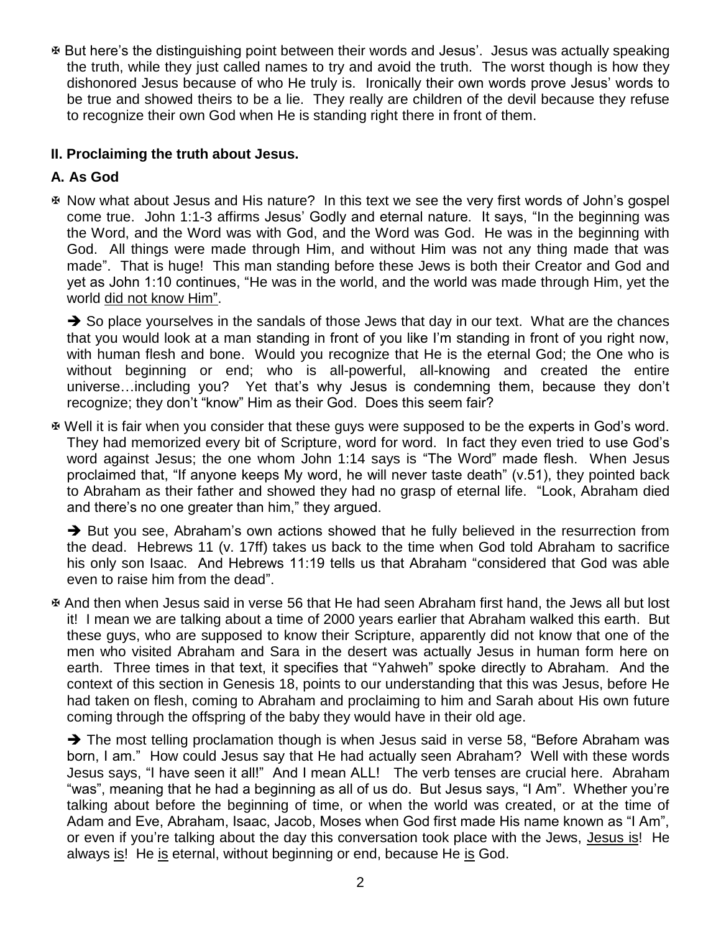But here's the distinguishing point between their words and Jesus'. Jesus was actually speaking the truth, while they just called names to try and avoid the truth. The worst though is how they dishonored Jesus because of who He truly is. Ironically their own words prove Jesus' words to be true and showed theirs to be a lie. They really are children of the devil because they refuse to recognize their own God when He is standing right there in front of them.

### **II. Proclaiming the truth about Jesus.**

# **A. As God**

 Now what about Jesus and His nature? In this text we see the very first words of John's gospel come true. John 1:1-3 affirms Jesus' Godly and eternal nature. It says, "In the beginning was the Word, and the Word was with God, and the Word was God. He was in the beginning with God. All things were made through Him, and without Him was not any thing made that was made". That is huge! This man standing before these Jews is both their Creator and God and yet as John 1:10 continues, "He was in the world, and the world was made through Him, yet the world did not know Him".

 $\rightarrow$  So place yourselves in the sandals of those Jews that day in our text. What are the chances that you would look at a man standing in front of you like I'm standing in front of you right now, with human flesh and bone. Would you recognize that He is the eternal God; the One who is without beginning or end; who is all-powerful, all-knowing and created the entire universe…including you? Yet that's why Jesus is condemning them, because they don't recognize; they don't "know" Him as their God. Does this seem fair?

 Well it is fair when you consider that these guys were supposed to be the experts in God's word. They had memorized every bit of Scripture, word for word. In fact they even tried to use God's word against Jesus; the one whom John 1:14 says is "The Word" made flesh. When Jesus proclaimed that, "If anyone keeps My word, he will never taste death" (v.51), they pointed back to Abraham as their father and showed they had no grasp of eternal life. "Look, Abraham died and there's no one greater than him," they argued.

 $\rightarrow$  But you see, Abraham's own actions showed that he fully believed in the resurrection from the dead. Hebrews 11 (v. 17ff) takes us back to the time when God told Abraham to sacrifice his only son Isaac. And Hebrews 11:19 tells us that Abraham "considered that God was able even to raise him from the dead".

 And then when Jesus said in verse 56 that He had seen Abraham first hand, the Jews all but lost it! I mean we are talking about a time of 2000 years earlier that Abraham walked this earth. But these guys, who are supposed to know their Scripture, apparently did not know that one of the men who visited Abraham and Sara in the desert was actually Jesus in human form here on earth. Three times in that text, it specifies that "Yahweh" spoke directly to Abraham. And the context of this section in Genesis 18, points to our understanding that this was Jesus, before He had taken on flesh, coming to Abraham and proclaiming to him and Sarah about His own future coming through the offspring of the baby they would have in their old age.

→ The most telling proclamation though is when Jesus said in verse 58, "Before Abraham was born, I am." How could Jesus say that He had actually seen Abraham? Well with these words Jesus says, "I have seen it all!" And I mean ALL! The verb tenses are crucial here. Abraham "was", meaning that he had a beginning as all of us do. But Jesus says, "I Am". Whether you're talking about before the beginning of time, or when the world was created, or at the time of Adam and Eve, Abraham, Isaac, Jacob, Moses when God first made His name known as "I Am", or even if you're talking about the day this conversation took place with the Jews, Jesus is! He always is! He is eternal, without beginning or end, because He is God.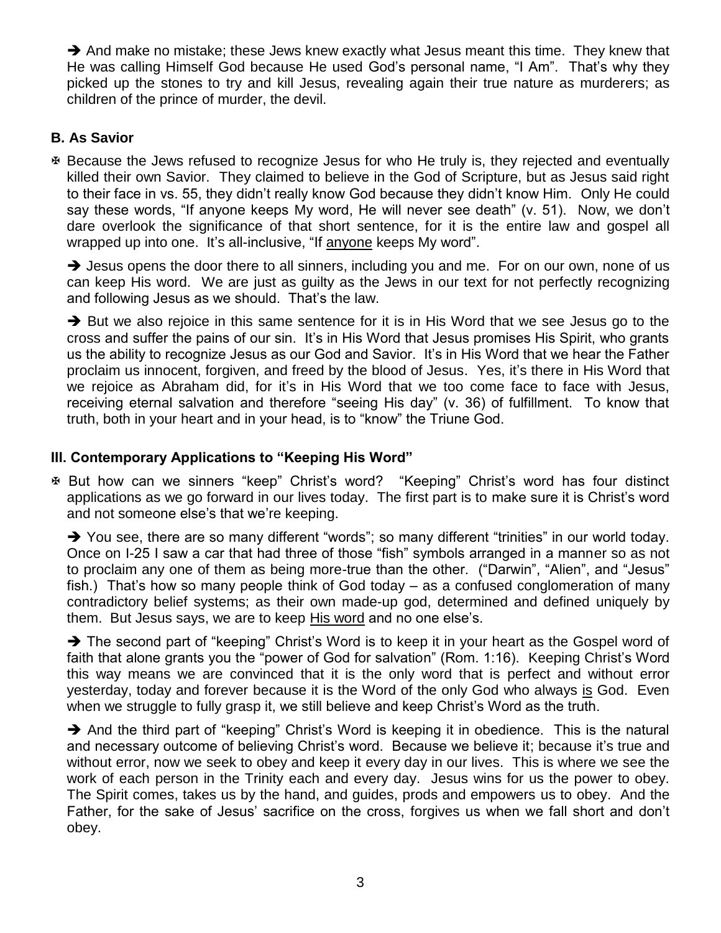$\rightarrow$  And make no mistake; these Jews knew exactly what Jesus meant this time. They knew that He was calling Himself God because He used God's personal name, "I Am". That's why they picked up the stones to try and kill Jesus, revealing again their true nature as murderers; as children of the prince of murder, the devil.

## **B. As Savior**

 Because the Jews refused to recognize Jesus for who He truly is, they rejected and eventually killed their own Savior. They claimed to believe in the God of Scripture, but as Jesus said right to their face in vs. 55, they didn't really know God because they didn't know Him. Only He could say these words, "If anyone keeps My word, He will never see death" (v. 51). Now, we don't dare overlook the significance of that short sentence, for it is the entire law and gospel all wrapped up into one. It's all-inclusive, "If anyone keeps My word".

 $\rightarrow$  Jesus opens the door there to all sinners, including you and me. For on our own, none of us can keep His word. We are just as guilty as the Jews in our text for not perfectly recognizing and following Jesus as we should. That's the law.

 $\rightarrow$  But we also rejoice in this same sentence for it is in His Word that we see Jesus go to the cross and suffer the pains of our sin. It's in His Word that Jesus promises His Spirit, who grants us the ability to recognize Jesus as our God and Savior. It's in His Word that we hear the Father proclaim us innocent, forgiven, and freed by the blood of Jesus. Yes, it's there in His Word that we rejoice as Abraham did, for it's in His Word that we too come face to face with Jesus, receiving eternal salvation and therefore "seeing His day" (v. 36) of fulfillment. To know that truth, both in your heart and in your head, is to "know" the Triune God.

### **III. Contemporary Applications to "Keeping His Word"**

 But how can we sinners "keep" Christ's word? "Keeping" Christ's word has four distinct applications as we go forward in our lives today. The first part is to make sure it is Christ's word and not someone else's that we're keeping.

→ You see, there are so many different "words"; so many different "trinities" in our world today. Once on I-25 I saw a car that had three of those "fish" symbols arranged in a manner so as not to proclaim any one of them as being more-true than the other. ("Darwin", "Alien", and "Jesus" fish.) That's how so many people think of God today – as a confused conglomeration of many contradictory belief systems; as their own made-up god, determined and defined uniquely by them. But Jesus says, we are to keep His word and no one else's.

→ The second part of "keeping" Christ's Word is to keep it in your heart as the Gospel word of faith that alone grants you the "power of God for salvation" (Rom. 1:16). Keeping Christ's Word this way means we are convinced that it is the only word that is perfect and without error yesterday, today and forever because it is the Word of the only God who always is God. Even when we struggle to fully grasp it, we still believe and keep Christ's Word as the truth.

 $\rightarrow$  And the third part of "keeping" Christ's Word is keeping it in obedience. This is the natural and necessary outcome of believing Christ's word. Because we believe it; because it's true and without error, now we seek to obey and keep it every day in our lives. This is where we see the work of each person in the Trinity each and every day. Jesus wins for us the power to obey. The Spirit comes, takes us by the hand, and guides, prods and empowers us to obey. And the Father, for the sake of Jesus' sacrifice on the cross, forgives us when we fall short and don't obey.